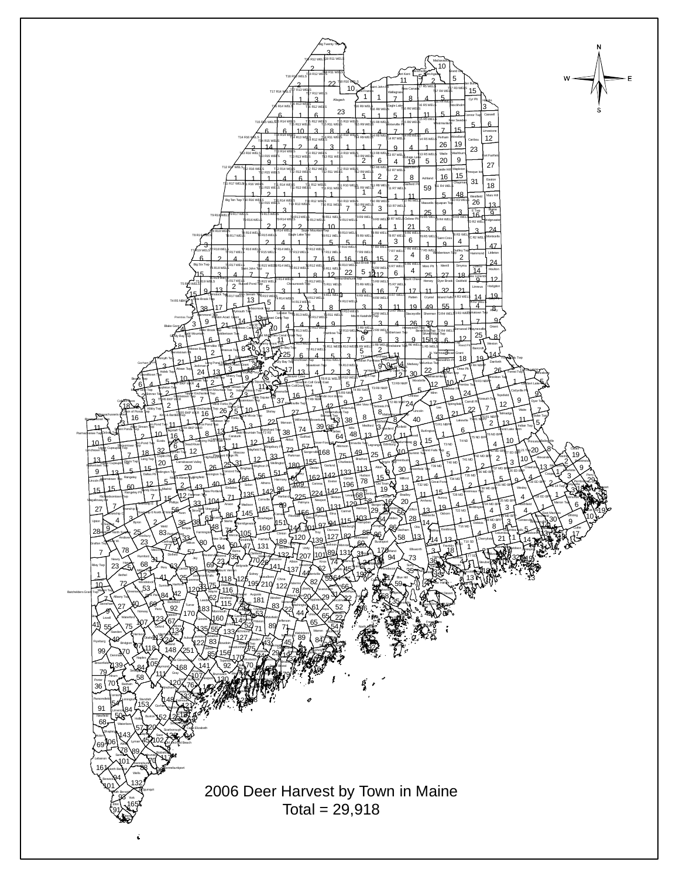